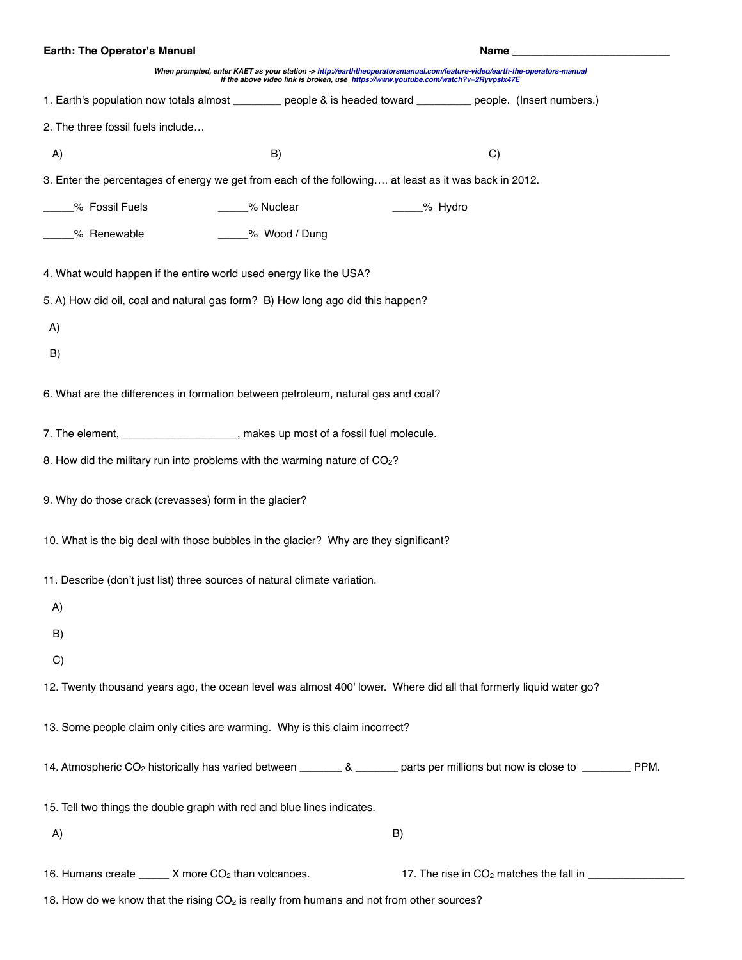| Earth: The Operator's Manual                                                                                                                |                                                                                                                                                                                                                |                                                           | Name and the contract of the contract of the contract of the contract of the contract of the contract of the contract of the contract of the contract of the contract of the contract of the contract of the contract of the c |  |
|---------------------------------------------------------------------------------------------------------------------------------------------|----------------------------------------------------------------------------------------------------------------------------------------------------------------------------------------------------------------|-----------------------------------------------------------|--------------------------------------------------------------------------------------------------------------------------------------------------------------------------------------------------------------------------------|--|
|                                                                                                                                             | When prompted, enter KAET as your station -> http://earththeoperatorsmanual.com/feature-video/earth-the-operators-manual<br>If the above video link is broken, use https://www.youtube.com/watch?v=2RyvpsIx47E |                                                           |                                                                                                                                                                                                                                |  |
| 1. Earth's population now totals almost _________ people & is headed toward _________ people. (Insert numbers.)                             |                                                                                                                                                                                                                |                                                           |                                                                                                                                                                                                                                |  |
| 2. The three fossil fuels include                                                                                                           |                                                                                                                                                                                                                |                                                           |                                                                                                                                                                                                                                |  |
| A)                                                                                                                                          | B)                                                                                                                                                                                                             | C)                                                        |                                                                                                                                                                                                                                |  |
| 3. Enter the percentages of energy we get from each of the following at least as it was back in 2012.                                       |                                                                                                                                                                                                                |                                                           |                                                                                                                                                                                                                                |  |
| _____% Fossil Fuels                                                                                                                         | _____% Nuclear                                                                                                                                                                                                 | _____% Hydro                                              |                                                                                                                                                                                                                                |  |
| _____% Renewable                                                                                                                            | ____% Wood / Dung                                                                                                                                                                                              |                                                           |                                                                                                                                                                                                                                |  |
| 4. What would happen if the entire world used energy like the USA?                                                                          |                                                                                                                                                                                                                |                                                           |                                                                                                                                                                                                                                |  |
| 5. A) How did oil, coal and natural gas form? B) How long ago did this happen?                                                              |                                                                                                                                                                                                                |                                                           |                                                                                                                                                                                                                                |  |
| A)                                                                                                                                          |                                                                                                                                                                                                                |                                                           |                                                                                                                                                                                                                                |  |
| B)                                                                                                                                          |                                                                                                                                                                                                                |                                                           |                                                                                                                                                                                                                                |  |
| 6. What are the differences in formation between petroleum, natural gas and coal?                                                           |                                                                                                                                                                                                                |                                                           |                                                                                                                                                                                                                                |  |
| 7. The element, ______________________, makes up most of a fossil fuel molecule.                                                            |                                                                                                                                                                                                                |                                                           |                                                                                                                                                                                                                                |  |
| 8. How did the military run into problems with the warming nature of CO2?                                                                   |                                                                                                                                                                                                                |                                                           |                                                                                                                                                                                                                                |  |
| 9. Why do those crack (crevasses) form in the glacier?                                                                                      |                                                                                                                                                                                                                |                                                           |                                                                                                                                                                                                                                |  |
| 10. What is the big deal with those bubbles in the glacier? Why are they significant?                                                       |                                                                                                                                                                                                                |                                                           |                                                                                                                                                                                                                                |  |
| 11. Describe (don't just list) three sources of natural climate variation.                                                                  |                                                                                                                                                                                                                |                                                           |                                                                                                                                                                                                                                |  |
| A)                                                                                                                                          |                                                                                                                                                                                                                |                                                           |                                                                                                                                                                                                                                |  |
| B)                                                                                                                                          |                                                                                                                                                                                                                |                                                           |                                                                                                                                                                                                                                |  |
| C)                                                                                                                                          |                                                                                                                                                                                                                |                                                           |                                                                                                                                                                                                                                |  |
| 12. Twenty thousand years ago, the ocean level was almost 400' lower. Where did all that formerly liquid water go?                          |                                                                                                                                                                                                                |                                                           |                                                                                                                                                                                                                                |  |
| 13. Some people claim only cities are warming. Why is this claim incorrect?                                                                 |                                                                                                                                                                                                                |                                                           |                                                                                                                                                                                                                                |  |
| 14. Atmospheric CO <sub>2</sub> historically has varied between _________ & ________ parts per millions but now is close to __________ PPM. |                                                                                                                                                                                                                |                                                           |                                                                                                                                                                                                                                |  |
| 15. Tell two things the double graph with red and blue lines indicates.                                                                     |                                                                                                                                                                                                                |                                                           |                                                                                                                                                                                                                                |  |
| A)                                                                                                                                          |                                                                                                                                                                                                                | B)                                                        |                                                                                                                                                                                                                                |  |
| 16. Humans create ______ X more CO <sub>2</sub> than volcanoes.                                                                             |                                                                                                                                                                                                                | 17. The rise in CO <sub>2</sub> matches the fall in _____ |                                                                                                                                                                                                                                |  |
| 18. How do we know that the rising CO <sub>2</sub> is really from humans and not from other sources?                                        |                                                                                                                                                                                                                |                                                           |                                                                                                                                                                                                                                |  |